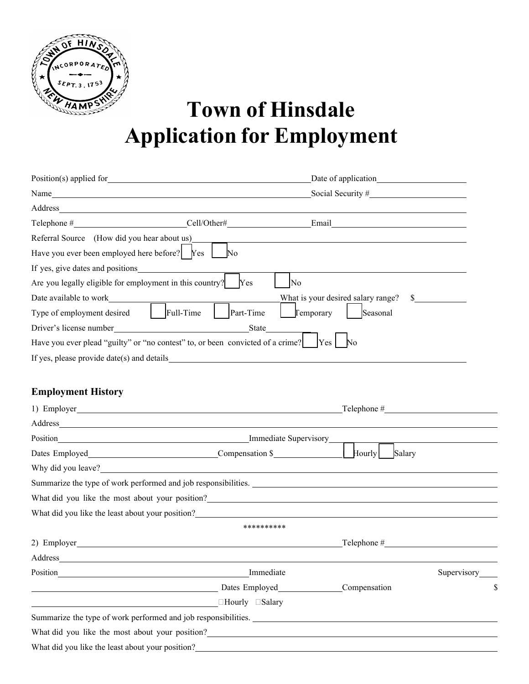

# **Town of Hinsdale Application for Employment**

| Name                                                                                  |                                                                                    |
|---------------------------------------------------------------------------------------|------------------------------------------------------------------------------------|
|                                                                                       |                                                                                    |
|                                                                                       |                                                                                    |
| Referral Source (How did you hear about us)                                           |                                                                                    |
| Have you ever been employed here before? Yes                                          | No                                                                                 |
| If yes, give dates and positions                                                      |                                                                                    |
| Are you legally eligible for employment in this country?                              | <b>Yes</b><br>No                                                                   |
| Date available to work                                                                | What is your desired salary range? \$                                              |
| Type of employment desired Full-Time                                                  | $\Gamma$ $\Gamma$ $\epsilon$ $\Gamma$ $\epsilon$ $\Gamma$<br>Part-Time<br>Seasonal |
|                                                                                       | State                                                                              |
| Have you ever plead "guilty" or "no contest" to, or been convicted of a crime?    Yes |                                                                                    |
|                                                                                       |                                                                                    |
|                                                                                       |                                                                                    |
| <b>Employment History</b>                                                             |                                                                                    |
|                                                                                       | $\Box$ Telephone # $\Box$                                                          |
|                                                                                       |                                                                                    |
| Position <b>Executive Service Services Properties</b>                                 | Immediate Supervisory                                                              |
|                                                                                       | Compensation \$<br>$\vert$ Hourly<br>Salary                                        |
|                                                                                       |                                                                                    |

|                                                                                                                                                                                                                                      |                             | $\text{1}$ elephone # $\text{2}$ |             |
|--------------------------------------------------------------------------------------------------------------------------------------------------------------------------------------------------------------------------------------|-----------------------------|----------------------------------|-------------|
|                                                                                                                                                                                                                                      |                             |                                  |             |
|                                                                                                                                                                                                                                      |                             |                                  |             |
|                                                                                                                                                                                                                                      |                             |                                  |             |
| Why did you leave? <u>And the same and the same and the same and the same and the same and the same and the same and the same and the same and the same and the same and the same and the same and the same and the same and the</u> |                             |                                  |             |
|                                                                                                                                                                                                                                      |                             |                                  |             |
|                                                                                                                                                                                                                                      |                             |                                  |             |
| What did you like the least about your position?<br><u> What did you like the least about your position?</u>                                                                                                                         |                             |                                  |             |
|                                                                                                                                                                                                                                      | **********                  |                                  |             |
| 2) Employer                                                                                                                                                                                                                          |                             | $\Gamma$ elephone # $\Gamma$     |             |
|                                                                                                                                                                                                                                      |                             |                                  |             |
|                                                                                                                                                                                                                                      |                             |                                  | Supervisory |
|                                                                                                                                                                                                                                      |                             |                                  | \$          |
|                                                                                                                                                                                                                                      | $\Box$ Hourly $\Box$ Salary |                                  |             |
|                                                                                                                                                                                                                                      |                             |                                  |             |
|                                                                                                                                                                                                                                      |                             |                                  |             |
|                                                                                                                                                                                                                                      |                             |                                  |             |
|                                                                                                                                                                                                                                      |                             |                                  |             |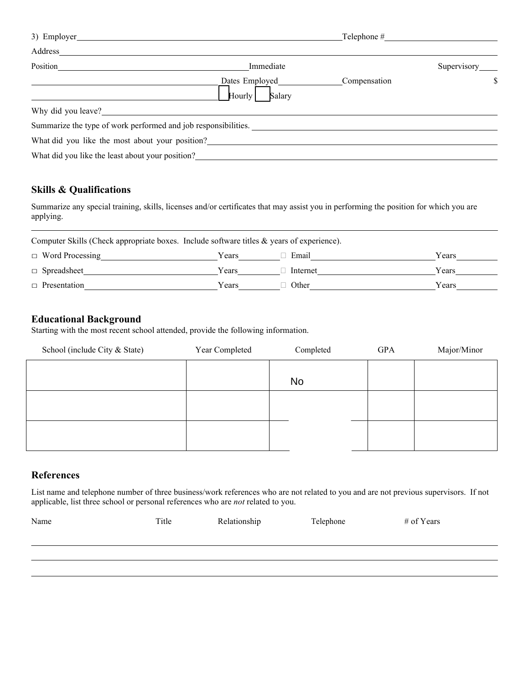| 3) Employer                                                    |                                    | Telephone #  |                   |
|----------------------------------------------------------------|------------------------------------|--------------|-------------------|
| Address                                                        |                                    |              |                   |
| Position                                                       | Immediate                          |              | Supervisory _____ |
|                                                                | Dates Employed<br>Salary<br>Hourly | Compensation | \$                |
| Why did you leave?                                             |                                    |              |                   |
| Summarize the type of work performed and job responsibilities. |                                    |              |                   |
| What did you like the most about your position?                |                                    |              |                   |
| What did you like the least about your position?               |                                    |              |                   |

#### **Skills & Qualifications**

Summarize any special training, skills, licenses and/or certificates that may assist you in performing the position for which you are applying.

| Computer Skills (Check appropriate boxes. Include software titles $\&$ years of experience). |       |          |       |  |
|----------------------------------------------------------------------------------------------|-------|----------|-------|--|
| $\Box$ Word Processing                                                                       | Years | Email    | Years |  |
| $\Box$ Spreadsheet                                                                           | Years | Internet | Years |  |
| $\Box$ Presentation                                                                          | Years | Other    | Years |  |

### **Educational Background**

Starting with the most recent school attended, provide the following information.

| School (include City & State) | Year Completed | Completed | <b>GPA</b> | Major/Minor |
|-------------------------------|----------------|-----------|------------|-------------|
|                               |                |           |            |             |
|                               |                | <b>No</b> |            |             |
|                               |                |           |            |             |
|                               |                |           |            |             |
|                               |                |           |            |             |
|                               |                |           |            |             |

### **References**

List name and telephone number of three business/work references who are not related to you and are not previous supervisors. If not applicable, list three school or personal references who are *not* related to you.

| Name | Title | Relationship | Telephone | # of Years |
|------|-------|--------------|-----------|------------|
|      |       |              |           |            |
|      |       |              |           |            |
|      |       |              |           |            |